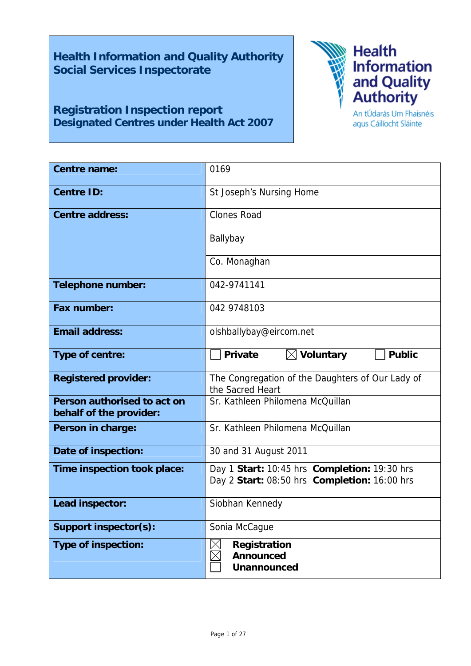**Health Information and Quality Authority Social Services Inspectorate** 

## **Registration Inspection report Designated Centres under Health Act 2007**



An tÚdarás Um Fhaisnéis agus Cáilíocht Sláinte

| Centre name:                                           | 0169                                                                                         |  |
|--------------------------------------------------------|----------------------------------------------------------------------------------------------|--|
| <b>Centre ID:</b>                                      | St Joseph's Nursing Home                                                                     |  |
| <b>Centre address:</b>                                 | <b>Clones Road</b>                                                                           |  |
|                                                        | Ballybay                                                                                     |  |
|                                                        | Co. Monaghan                                                                                 |  |
| Telephone number:                                      | 042-9741141                                                                                  |  |
| Fax number:                                            | 042 9748103                                                                                  |  |
| <b>Email address:</b>                                  | olshballybay@eircom.net                                                                      |  |
| Type of centre:                                        | $\boxtimes$ Voluntary<br><b>Public</b><br><b>Private</b>                                     |  |
| <b>Registered provider:</b>                            | The Congregation of the Daughters of Our Lady of<br>the Sacred Heart                         |  |
| Person authorised to act on<br>behalf of the provider: | Sr. Kathleen Philomena McQuillan                                                             |  |
| Person in charge:                                      | Sr. Kathleen Philomena McQuillan                                                             |  |
| Date of inspection:                                    | 30 and 31 August 2011                                                                        |  |
| Time inspection took place:                            | Day 1 Start: 10:45 hrs Completion: 19:30 hrs<br>Day 2 Start: 08:50 hrs Completion: 16:00 hrs |  |
| Lead inspector:                                        | Siobhan Kennedy                                                                              |  |
| Support inspector(s):                                  | Sonia McCague                                                                                |  |
| <b>Type of inspection:</b>                             | Registration<br><b>Announced</b><br><b>Unannounced</b>                                       |  |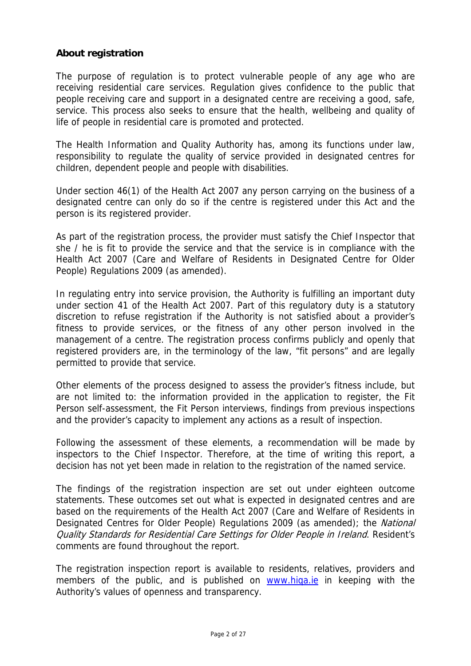## **About registration**

The purpose of regulation is to protect vulnerable people of any age who are receiving residential care services. Regulation gives confidence to the public that people receiving care and support in a designated centre are receiving a good, safe, service. This process also seeks to ensure that the health, wellbeing and quality of life of people in residential care is promoted and protected.

The Health Information and Quality Authority has, among its functions under law, responsibility to regulate the quality of service provided in designated centres for children, dependent people and people with disabilities.

Under section 46(1) of the Health Act 2007 any person carrying on the business of a designated centre can only do so if the centre is registered under this Act and the person is its registered provider.

As part of the registration process, the provider must satisfy the Chief Inspector that she / he is fit to provide the service and that the service is in compliance with the Health Act 2007 (Care and Welfare of Residents in Designated Centre for Older People) Regulations 2009 (as amended).

In regulating entry into service provision, the Authority is fulfilling an important duty under section 41 of the Health Act 2007. Part of this regulatory duty is a statutory discretion to refuse registration if the Authority is not satisfied about a provider's fitness to provide services, or the fitness of any other person involved in the management of a centre. The registration process confirms publicly and openly that registered providers are, in the terminology of the law, "fit persons" and are legally permitted to provide that service.

Other elements of the process designed to assess the provider's fitness include, but are not limited to: the information provided in the application to register, the Fit Person self-assessment, the Fit Person interviews, findings from previous inspections and the provider's capacity to implement any actions as a result of inspection.

Following the assessment of these elements, a recommendation will be made by inspectors to the Chief Inspector. Therefore, at the time of writing this report, a decision has not yet been made in relation to the registration of the named service.

The findings of the registration inspection are set out under eighteen outcome statements. These outcomes set out what is expected in designated centres and are based on the requirements of the Health Act 2007 (Care and Welfare of Residents in Designated Centres for Older People) Regulations 2009 (as amended); the *National* Quality Standards for Residential Care Settings for Older People in Ireland. Resident's comments are found throughout the report.

The registration inspection report is available to residents, relatives, providers and members of the public, and is published on www.hiqa.ie in keeping with the Authority's values of openness and transparency.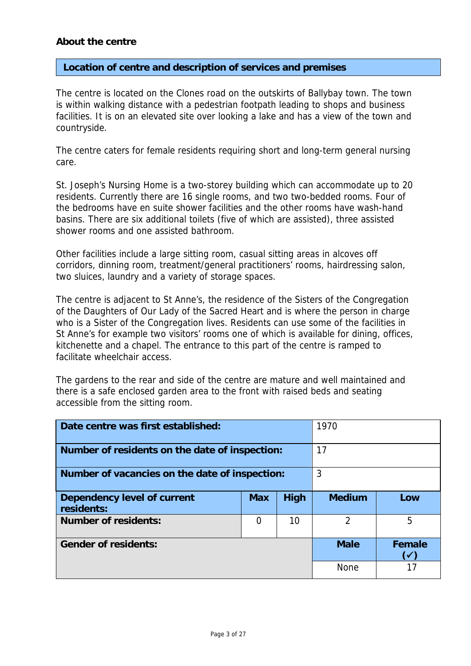## **About the centre**

#### **Location of centre and description of services and premises**

The centre is located on the Clones road on the outskirts of Ballybay town. The town is within walking distance with a pedestrian footpath leading to shops and business facilities. It is on an elevated site over looking a lake and has a view of the town and countryside.

The centre caters for female residents requiring short and long-term general nursing care.

St. Joseph's Nursing Home is a two-storey building which can accommodate up to 20 residents. Currently there are 16 single rooms, and two two-bedded rooms. Four of the bedrooms have en suite shower facilities and the other rooms have wash-hand basins. There are six additional toilets (five of which are assisted), three assisted shower rooms and one assisted bathroom.

Other facilities include a large sitting room, casual sitting areas in alcoves off corridors, dinning room, treatment/general practitioners' rooms, hairdressing salon, two sluices, laundry and a variety of storage spaces.

The centre is adjacent to St Anne's, the residence of the Sisters of the Congregation of the Daughters of Our Lady of the Sacred Heart and is where the person in charge who is a Sister of the Congregation lives. Residents can use some of the facilities in St Anne's for example two visitors' rooms one of which is available for dining, offices, kitchenette and a chapel. The entrance to this part of the centre is ramped to facilitate wheelchair access.

The gardens to the rear and side of the centre are mature and well maintained and there is a safe enclosed garden area to the front with raised beds and seating accessible from the sitting room.

| Date centre was first established:               |            | 1970        |                     |     |
|--------------------------------------------------|------------|-------------|---------------------|-----|
| Number of residents on the date of inspection:   |            | 17          |                     |     |
| Number of vacancies on the date of inspection:   |            | 3           |                     |     |
| <b>Dependency level of current</b><br>residents: | <b>Max</b> | High        | <b>Medium</b>       | Low |
| <b>Number of residents:</b>                      | 0          | 10          | $\overline{2}$      | 5   |
| <b>Gender of residents:</b>                      |            | <b>Male</b> | Female<br><b>VA</b> |     |
|                                                  |            |             | <b>None</b>         | 17  |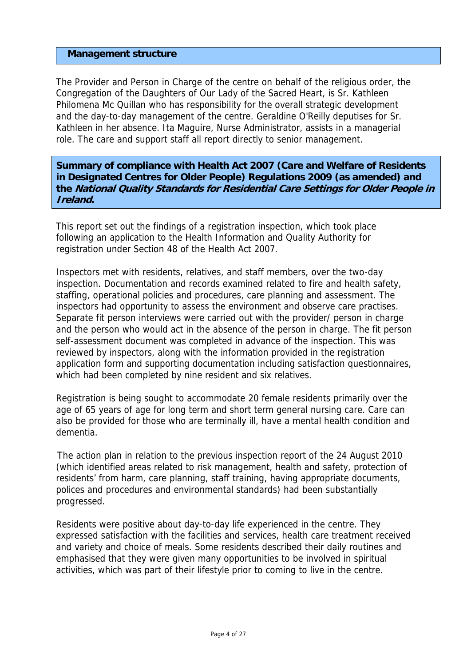#### **Management structure**

The Provider and Person in Charge of the centre on behalf of the religious order, the Congregation of the Daughters of Our Lady of the Sacred Heart, is Sr. Kathleen Philomena Mc Quillan who has responsibility for the overall strategic development and the day-to-day management of the centre. Geraldine O'Reilly deputises for Sr. Kathleen in her absence. Ita Maguire, Nurse Administrator, assists in a managerial role. The care and support staff all report directly to senior management.

**Summary of compliance with Health Act 2007 (Care and Welfare of Residents in Designated Centres for Older People) Regulations 2009 (as amended) and the National Quality Standards for Residential Care Settings for Older People in Ireland.**

This report set out the findings of a registration inspection, which took place following an application to the Health Information and Quality Authority for registration under Section 48 of the Health Act 2007.

Inspectors met with residents, relatives, and staff members, over the two-day inspection. Documentation and records examined related to fire and health safety, staffing, operational policies and procedures, care planning and assessment. The inspectors had opportunity to assess the environment and observe care practises. Separate fit person interviews were carried out with the provider/ person in charge and the person who would act in the absence of the person in charge. The fit person self-assessment document was completed in advance of the inspection. This was reviewed by inspectors, along with the information provided in the registration application form and supporting documentation including satisfaction questionnaires, which had been completed by nine resident and six relatives.

Registration is being sought to accommodate 20 female residents primarily over the age of 65 years of age for long term and short term general nursing care. Care can also be provided for those who are terminally ill, have a mental health condition and dementia.

 The action plan in relation to the previous inspection report of the 24 August 2010 (which identified areas related to risk management, health and safety, protection of residents' from harm, care planning, staff training, having appropriate documents, polices and procedures and environmental standards) had been substantially progressed.

Residents were positive about day-to-day life experienced in the centre. They expressed satisfaction with the facilities and services, health care treatment received and variety and choice of meals. Some residents described their daily routines and emphasised that they were given many opportunities to be involved in spiritual activities, which was part of their lifestyle prior to coming to live in the centre.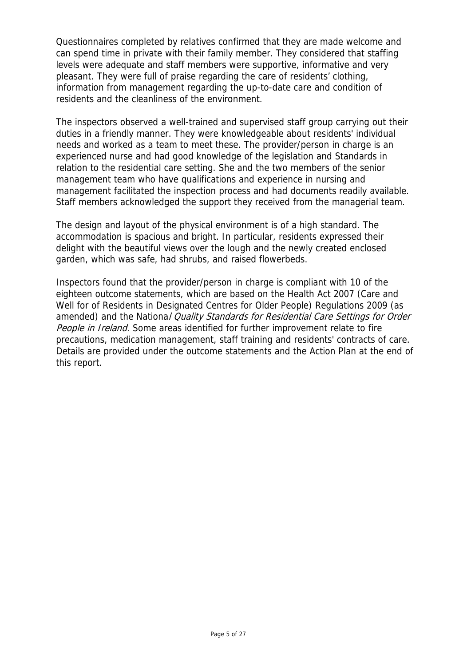Questionnaires completed by relatives confirmed that they are made welcome and can spend time in private with their family member. They considered that staffing levels were adequate and staff members were supportive, informative and very pleasant. They were full of praise regarding the care of residents' clothing, information from management regarding the up-to-date care and condition of residents and the cleanliness of the environment.

The inspectors observed a well-trained and supervised staff group carrying out their duties in a friendly manner. They were knowledgeable about residents' individual needs and worked as a team to meet these. The provider/person in charge is an experienced nurse and had good knowledge of the legislation and Standards in relation to the residential care setting. She and the two members of the senior management team who have qualifications and experience in nursing and management facilitated the inspection process and had documents readily available. Staff members acknowledged the support they received from the managerial team.

The design and layout of the physical environment is of a high standard. The accommodation is spacious and bright. In particular, residents expressed their delight with the beautiful views over the lough and the newly created enclosed garden, which was safe, had shrubs, and raised flowerbeds.

Inspectors found that the provider/person in charge is compliant with 10 of the eighteen outcome statements, which are based on the Health Act 2007 (Care and Well for of Residents in Designated Centres for Older People) Regulations 2009 (as amended) and the National Quality Standards for Residential Care Settings for Order People in Ireland. Some areas identified for further improvement relate to fire precautions, medication management, staff training and residents' contracts of care. Details are provided under the outcome statements and the Action Plan at the end of this report.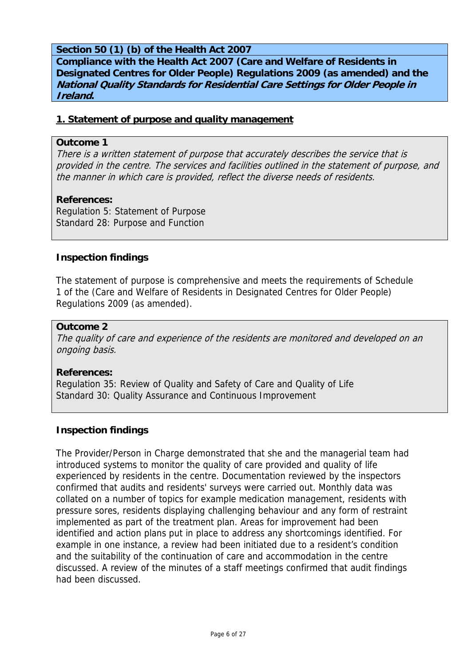## **Section 50 (1) (b) of the Health Act 2007**

**Compliance with the Health Act 2007 (Care and Welfare of Residents in Designated Centres for Older People) Regulations 2009 (as amended) and the National Quality Standards for Residential Care Settings for Older People in Ireland.** 

#### **1. Statement of purpose and quality management**

#### **Outcome 1**

There is a written statement of purpose that accurately describes the service that is provided in the centre. The services and facilities outlined in the statement of purpose, and the manner in which care is provided, reflect the diverse needs of residents.

## **References:**

Regulation 5: Statement of Purpose Standard 28: Purpose and Function

#### **Inspection findings**

The statement of purpose is comprehensive and meets the requirements of Schedule 1 of the (Care and Welfare of Residents in Designated Centres for Older People) Regulations 2009 (as amended).

#### **Outcome 2**

The quality of care and experience of the residents are monitored and developed on an ongoing basis.

#### **References:**

Regulation 35: Review of Quality and Safety of Care and Quality of Life Standard 30: Quality Assurance and Continuous Improvement

## **Inspection findings**

The Provider/Person in Charge demonstrated that she and the managerial team had introduced systems to monitor the quality of care provided and quality of life experienced by residents in the centre. Documentation reviewed by the inspectors confirmed that audits and residents' surveys were carried out. Monthly data was collated on a number of topics for example medication management, residents with pressure sores, residents displaying challenging behaviour and any form of restraint implemented as part of the treatment plan. Areas for improvement had been identified and action plans put in place to address any shortcomings identified. For example in one instance, a review had been initiated due to a resident's condition and the suitability of the continuation of care and accommodation in the centre discussed. A review of the minutes of a staff meetings confirmed that audit findings had been discussed.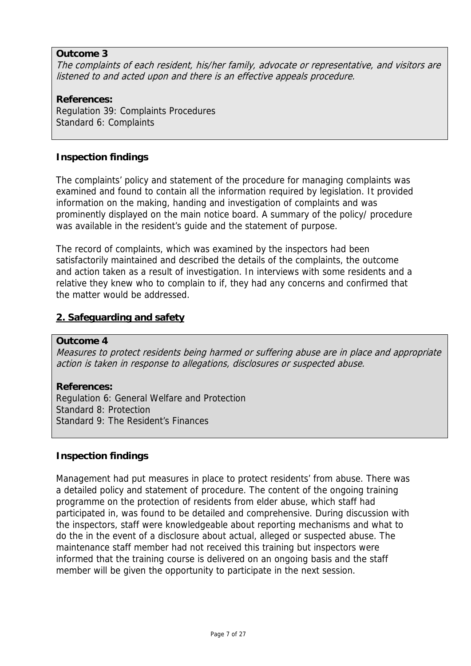## **Outcome 3**

The complaints of each resident, his/her family, advocate or representative, and visitors are listened to and acted upon and there is an effective appeals procedure.

**References:**  Regulation 39: Complaints Procedures Standard 6: Complaints

## **Inspection findings**

The complaints' policy and statement of the procedure for managing complaints was examined and found to contain all the information required by legislation. It provided information on the making, handing and investigation of complaints and was prominently displayed on the main notice board. A summary of the policy/ procedure was available in the resident's guide and the statement of purpose.

The record of complaints, which was examined by the inspectors had been satisfactorily maintained and described the details of the complaints, the outcome and action taken as a result of investigation. In interviews with some residents and a relative they knew who to complain to if, they had any concerns and confirmed that the matter would be addressed.

## **2. Safeguarding and safety**

#### **Outcome 4**

Measures to protect residents being harmed or suffering abuse are in place and appropriate action is taken in response to allegations, disclosures or suspected abuse.

#### **References:**

Regulation 6: General Welfare and Protection Standard 8: Protection Standard 9: The Resident's Finances

#### **Inspection findings**

Management had put measures in place to protect residents' from abuse. There was a detailed policy and statement of procedure. The content of the ongoing training programme on the protection of residents from elder abuse, which staff had participated in, was found to be detailed and comprehensive. During discussion with the inspectors, staff were knowledgeable about reporting mechanisms and what to do the in the event of a disclosure about actual, alleged or suspected abuse. The maintenance staff member had not received this training but inspectors were informed that the training course is delivered on an ongoing basis and the staff member will be given the opportunity to participate in the next session.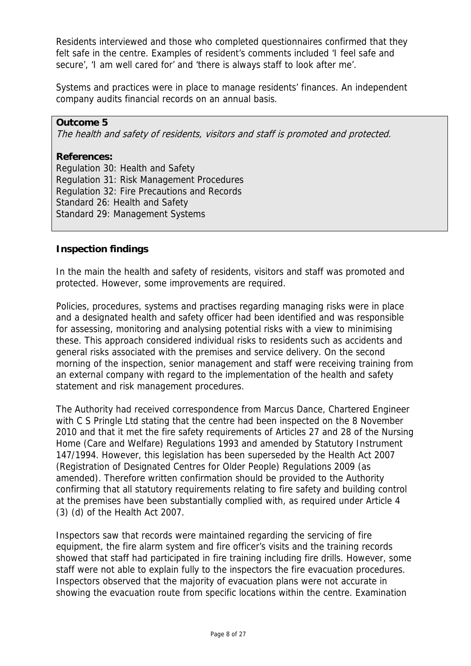Residents interviewed and those who completed questionnaires confirmed that they felt safe in the centre. Examples of resident's comments included 'I feel safe and secure', 'I am well cared for' and 'there is always staff to look after me'.

Systems and practices were in place to manage residents' finances. An independent company audits financial records on an annual basis.

## **Outcome 5**

The health and safety of residents, visitors and staff is promoted and protected.

#### **References:**

Regulation 30: Health and Safety Regulation 31: Risk Management Procedures Regulation 32: Fire Precautions and Records Standard 26: Health and Safety Standard 29: Management Systems

## **Inspection findings**

In the main the health and safety of residents, visitors and staff was promoted and protected. However, some improvements are required.

Policies, procedures, systems and practises regarding managing risks were in place and a designated health and safety officer had been identified and was responsible for assessing, monitoring and analysing potential risks with a view to minimising these. This approach considered individual risks to residents such as accidents and general risks associated with the premises and service delivery. On the second morning of the inspection, senior management and staff were receiving training from an external company with regard to the implementation of the health and safety statement and risk management procedures.

The Authority had received correspondence from Marcus Dance, Chartered Engineer with C S Pringle Ltd stating that the centre had been inspected on the 8 November 2010 and that it met the fire safety requirements of Articles 27 and 28 of the Nursing Home (Care and Welfare) Regulations 1993 and amended by Statutory Instrument 147/1994. However, this legislation has been superseded by the Health Act 2007 (Registration of Designated Centres for Older People) Regulations 2009 (as amended). Therefore written confirmation should be provided to the Authority confirming that all statutory requirements relating to fire safety and building control at the premises have been substantially complied with, as required under Article 4 (3) (d) of the Health Act 2007.

Inspectors saw that records were maintained regarding the servicing of fire equipment, the fire alarm system and fire officer's visits and the training records showed that staff had participated in fire training including fire drills. However, some staff were not able to explain fully to the inspectors the fire evacuation procedures. Inspectors observed that the majority of evacuation plans were not accurate in showing the evacuation route from specific locations within the centre. Examination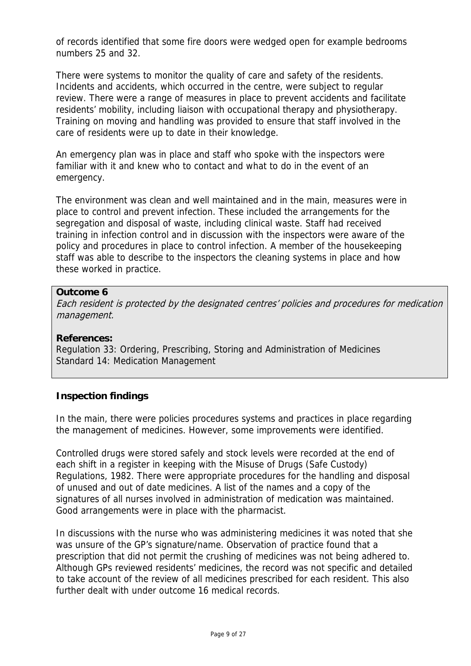of records identified that some fire doors were wedged open for example bedrooms numbers 25 and 32.

There were systems to monitor the quality of care and safety of the residents. Incidents and accidents, which occurred in the centre, were subject to regular review. There were a range of measures in place to prevent accidents and facilitate residents' mobility, including liaison with occupational therapy and physiotherapy. Training on moving and handling was provided to ensure that staff involved in the care of residents were up to date in their knowledge.

An emergency plan was in place and staff who spoke with the inspectors were familiar with it and knew who to contact and what to do in the event of an emergency.

The environment was clean and well maintained and in the main, measures were in place to control and prevent infection. These included the arrangements for the segregation and disposal of waste, including clinical waste. Staff had received training in infection control and in discussion with the inspectors were aware of the policy and procedures in place to control infection. A member of the housekeeping staff was able to describe to the inspectors the cleaning systems in place and how these worked in practice.

## **Outcome 6**

Each resident is protected by the designated centres' policies and procedures for medication management.

## **References:**

Regulation 33: Ordering, Prescribing, Storing and Administration of Medicines Standard 14: Medication Management

## **Inspection findings**

In the main, there were policies procedures systems and practices in place regarding the management of medicines. However, some improvements were identified.

Controlled drugs were stored safely and stock levels were recorded at the end of each shift in a register in keeping with the Misuse of Drugs (Safe Custody) Regulations, 1982. There were appropriate procedures for the handling and disposal of unused and out of date medicines. A list of the names and a copy of the signatures of all nurses involved in administration of medication was maintained. Good arrangements were in place with the pharmacist.

In discussions with the nurse who was administering medicines it was noted that she was unsure of the GP's signature/name. Observation of practice found that a prescription that did not permit the crushing of medicines was not being adhered to. Although GPs reviewed residents' medicines, the record was not specific and detailed to take account of the review of all medicines prescribed for each resident. This also further dealt with under outcome 16 medical records.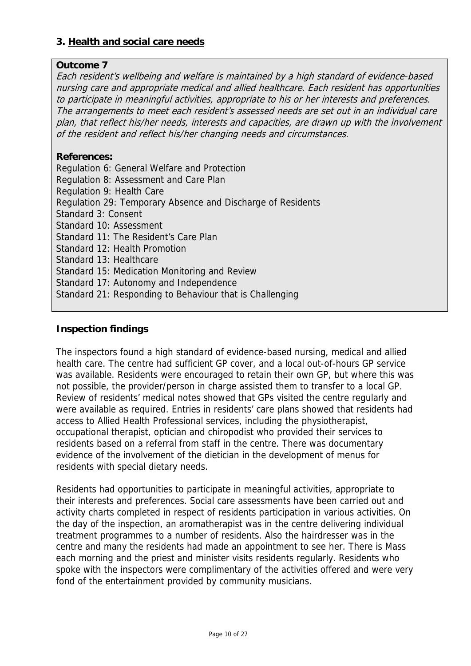## **3. Health and social care needs**

## **Outcome 7**

Each resident's wellbeing and welfare is maintained by a high standard of evidence-based nursing care and appropriate medical and allied healthcare. Each resident has opportunities to participate in meaningful activities, appropriate to his or her interests and preferences. The arrangements to meet each resident's assessed needs are set out in an individual care plan, that reflect his/her needs, interests and capacities, are drawn up with the involvement of the resident and reflect his/her changing needs and circumstances.

## **References:**

Regulation 6: General Welfare and Protection Regulation 8: Assessment and Care Plan Regulation 9: Health Care Regulation 29: Temporary Absence and Discharge of Residents Standard 3: Consent Standard 10: Assessment Standard 11: The Resident's Care Plan Standard 12: Health Promotion Standard 13: Healthcare Standard 15: Medication Monitoring and Review Standard 17: Autonomy and Independence Standard 21: Responding to Behaviour that is Challenging

## **Inspection findings**

The inspectors found a high standard of evidence-based nursing, medical and allied health care. The centre had sufficient GP cover, and a local out-of-hours GP service was available. Residents were encouraged to retain their own GP, but where this was not possible, the provider/person in charge assisted them to transfer to a local GP. Review of residents' medical notes showed that GPs visited the centre regularly and were available as required. Entries in residents' care plans showed that residents had access to Allied Health Professional services, including the physiotherapist, occupational therapist, optician and chiropodist who provided their services to residents based on a referral from staff in the centre. There was documentary evidence of the involvement of the dietician in the development of menus for residents with special dietary needs.

Residents had opportunities to participate in meaningful activities, appropriate to their interests and preferences. Social care assessments have been carried out and activity charts completed in respect of residents participation in various activities. On the day of the inspection, an aromatherapist was in the centre delivering individual treatment programmes to a number of residents. Also the hairdresser was in the centre and many the residents had made an appointment to see her. There is Mass each morning and the priest and minister visits residents regularly. Residents who spoke with the inspectors were complimentary of the activities offered and were very fond of the entertainment provided by community musicians.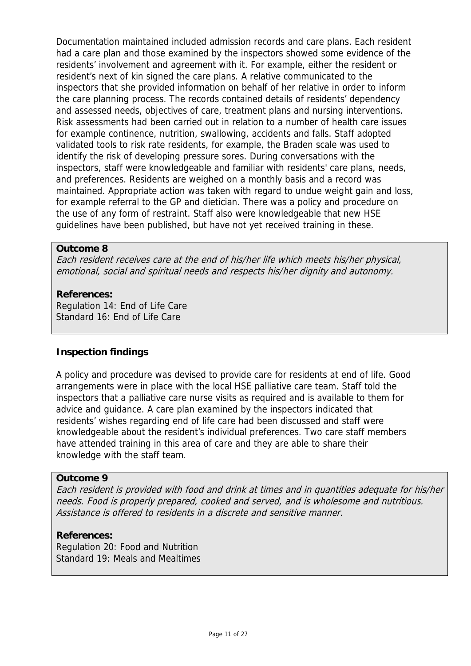Documentation maintained included admission records and care plans. Each resident had a care plan and those examined by the inspectors showed some evidence of the residents' involvement and agreement with it. For example, either the resident or resident's next of kin signed the care plans. A relative communicated to the inspectors that she provided information on behalf of her relative in order to inform the care planning process. The records contained details of residents' dependency and assessed needs, objectives of care, treatment plans and nursing interventions. Risk assessments had been carried out in relation to a number of health care issues for example continence, nutrition, swallowing, accidents and falls. Staff adopted validated tools to risk rate residents, for example, the Braden scale was used to identify the risk of developing pressure sores. During conversations with the inspectors, staff were knowledgeable and familiar with residents' care plans, needs, and preferences. Residents are weighed on a monthly basis and a record was maintained. Appropriate action was taken with regard to undue weight gain and loss, for example referral to the GP and dietician. There was a policy and procedure on the use of any form of restraint. Staff also were knowledgeable that new HSE guidelines have been published, but have not yet received training in these.

#### **Outcome 8**

Each resident receives care at the end of his/her life which meets his/her physical, emotional, social and spiritual needs and respects his/her dignity and autonomy.

#### **References:**

Regulation 14: End of Life Care Standard 16: End of Life Care

## **Inspection findings**

A policy and procedure was devised to provide care for residents at end of life. Good arrangements were in place with the local HSE palliative care team. Staff told the inspectors that a palliative care nurse visits as required and is available to them for advice and guidance. A care plan examined by the inspectors indicated that residents' wishes regarding end of life care had been discussed and staff were knowledgeable about the resident's individual preferences. Two care staff members have attended training in this area of care and they are able to share their knowledge with the staff team.

#### **Outcome 9**

Each resident is provided with food and drink at times and in quantities adequate for his/her needs. Food is properly prepared, cooked and served, and is wholesome and nutritious. Assistance is offered to residents in a discrete and sensitive manner.

#### **References:**

Regulation 20: Food and Nutrition Standard 19: Meals and Mealtimes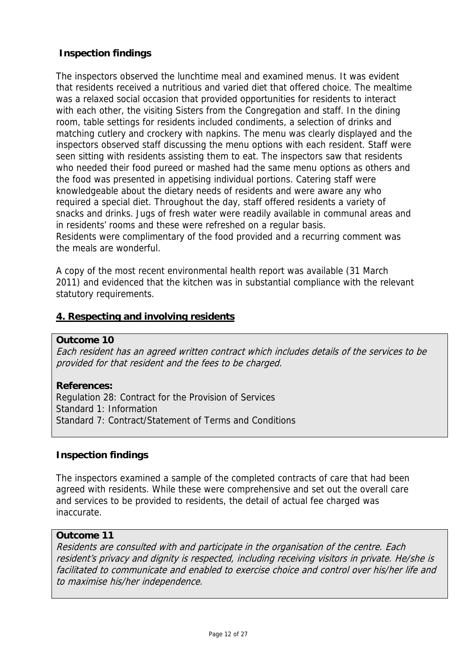## **Inspection findings**

The inspectors observed the lunchtime meal and examined menus. It was evident that residents received a nutritious and varied diet that offered choice. The mealtime was a relaxed social occasion that provided opportunities for residents to interact with each other, the visiting Sisters from the Congregation and staff. In the dining room, table settings for residents included condiments, a selection of drinks and matching cutlery and crockery with napkins. The menu was clearly displayed and the inspectors observed staff discussing the menu options with each resident. Staff were seen sitting with residents assisting them to eat. The inspectors saw that residents who needed their food pureed or mashed had the same menu options as others and the food was presented in appetising individual portions. Catering staff were knowledgeable about the dietary needs of residents and were aware any who required a special diet. Throughout the day, staff offered residents a variety of snacks and drinks. Jugs of fresh water were readily available in communal areas and in residents' rooms and these were refreshed on a regular basis. Residents were complimentary of the food provided and a recurring comment was the meals are wonderful.

A copy of the most recent environmental health report was available (31 March 2011) and evidenced that the kitchen was in substantial compliance with the relevant statutory requirements.

## **4. Respecting and involving residents**

#### **Outcome 10**

Each resident has an agreed written contract which includes details of the services to be provided for that resident and the fees to be charged.

## **References:**

Regulation 28: Contract for the Provision of Services Standard 1: Information Standard 7: Contract/Statement of Terms and Conditions

## **Inspection findings**

The inspectors examined a sample of the completed contracts of care that had been agreed with residents. While these were comprehensive and set out the overall care and services to be provided to residents, the detail of actual fee charged was inaccurate.

## **Outcome 11**

Residents are consulted with and participate in the organisation of the centre. Each resident's privacy and dignity is respected, including receiving visitors in private. He/she is facilitated to communicate and enabled to exercise choice and control over his/her life and to maximise his/her independence.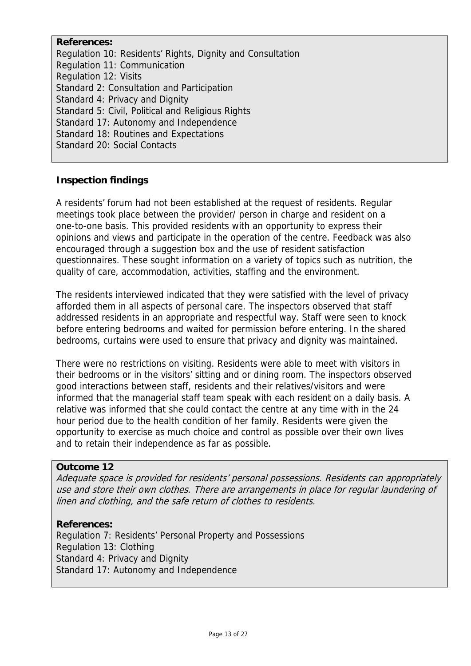**References:**  Regulation 10: Residents' Rights, Dignity and Consultation Regulation 11: Communication Regulation 12: Visits Standard 2: Consultation and Participation Standard 4: Privacy and Dignity Standard 5: Civil, Political and Religious Rights Standard 17: Autonomy and Independence Standard 18: Routines and Expectations Standard 20: Social Contacts

## **Inspection findings**

A residents' forum had not been established at the request of residents. Regular meetings took place between the provider/ person in charge and resident on a one-to-one basis. This provided residents with an opportunity to express their opinions and views and participate in the operation of the centre. Feedback was also encouraged through a suggestion box and the use of resident satisfaction questionnaires. These sought information on a variety of topics such as nutrition, the quality of care, accommodation, activities, staffing and the environment.

The residents interviewed indicated that they were satisfied with the level of privacy afforded them in all aspects of personal care. The inspectors observed that staff addressed residents in an appropriate and respectful way. Staff were seen to knock before entering bedrooms and waited for permission before entering. In the shared bedrooms, curtains were used to ensure that privacy and dignity was maintained.

There were no restrictions on visiting. Residents were able to meet with visitors in their bedrooms or in the visitors' sitting and or dining room. The inspectors observed good interactions between staff, residents and their relatives/visitors and were informed that the managerial staff team speak with each resident on a daily basis. A relative was informed that she could contact the centre at any time with in the 24 hour period due to the health condition of her family. Residents were given the opportunity to exercise as much choice and control as possible over their own lives and to retain their independence as far as possible.

## **Outcome 12**

Adequate space is provided for residents' personal possessions. Residents can appropriately use and store their own clothes. There are arrangements in place for regular laundering of linen and clothing, and the safe return of clothes to residents.

#### **References:**

Regulation 7: Residents' Personal Property and Possessions Regulation 13: Clothing Standard 4: Privacy and Dignity Standard 17: Autonomy and Independence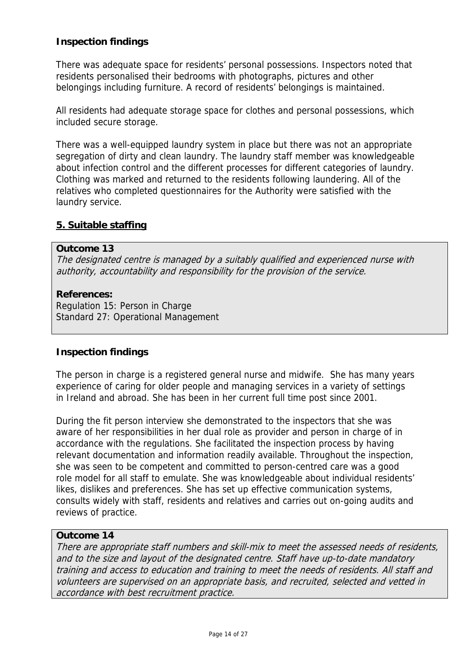## **Inspection findings**

There was adequate space for residents' personal possessions. Inspectors noted that residents personalised their bedrooms with photographs, pictures and other belongings including furniture. A record of residents' belongings is maintained.

All residents had adequate storage space for clothes and personal possessions, which included secure storage.

There was a well-equipped laundry system in place but there was not an appropriate segregation of dirty and clean laundry. The laundry staff member was knowledgeable about infection control and the different processes for different categories of laundry. Clothing was marked and returned to the residents following laundering. All of the relatives who completed questionnaires for the Authority were satisfied with the laundry service.

## **5. Suitable staffing**

#### **Outcome 13**

The designated centre is managed by a suitably qualified and experienced nurse with authority, accountability and responsibility for the provision of the service.

#### **References:**

Regulation 15: Person in Charge Standard 27: Operational Management

## **Inspection findings**

The person in charge is a registered general nurse and midwife. She has many years experience of caring for older people and managing services in a variety of settings in Ireland and abroad. She has been in her current full time post since 2001.

During the fit person interview she demonstrated to the inspectors that she was aware of her responsibilities in her dual role as provider and person in charge of in accordance with the regulations. She facilitated the inspection process by having relevant documentation and information readily available. Throughout the inspection, she was seen to be competent and committed to person-centred care was a good role model for all staff to emulate. She was knowledgeable about individual residents' likes, dislikes and preferences. She has set up effective communication systems, consults widely with staff, residents and relatives and carries out on-going audits and reviews of practice.

## **Outcome 14**

There are appropriate staff numbers and skill-mix to meet the assessed needs of residents, and to the size and layout of the designated centre. Staff have up-to-date mandatory training and access to education and training to meet the needs of residents. All staff and volunteers are supervised on an appropriate basis, and recruited, selected and vetted in accordance with best recruitment practice.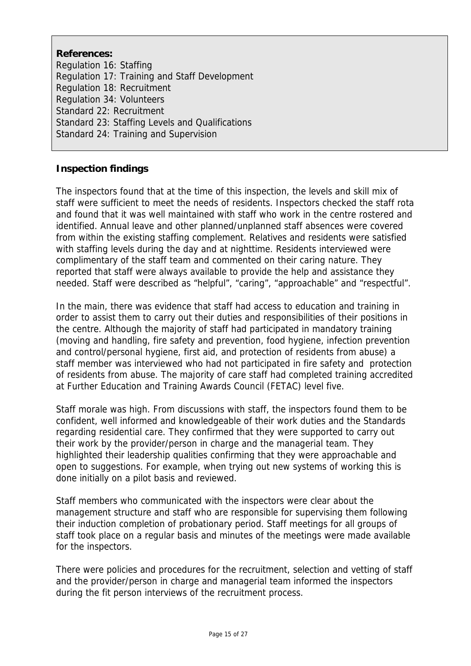**References:**  Regulation 16: Staffing Regulation 17: Training and Staff Development Regulation 18: Recruitment Regulation 34: Volunteers Standard 22: Recruitment Standard 23: Staffing Levels and Qualifications Standard 24: Training and Supervision

## **Inspection findings**

The inspectors found that at the time of this inspection, the levels and skill mix of staff were sufficient to meet the needs of residents. Inspectors checked the staff rota and found that it was well maintained with staff who work in the centre rostered and identified. Annual leave and other planned/unplanned staff absences were covered from within the existing staffing complement. Relatives and residents were satisfied with staffing levels during the day and at nighttime. Residents interviewed were complimentary of the staff team and commented on their caring nature. They reported that staff were always available to provide the help and assistance they needed. Staff were described as "helpful", "caring", "approachable" and "respectful".

In the main, there was evidence that staff had access to education and training in order to assist them to carry out their duties and responsibilities of their positions in the centre. Although the majority of staff had participated in mandatory training (moving and handling, fire safety and prevention, food hygiene, infection prevention and control/personal hygiene, first aid, and protection of residents from abuse) a staff member was interviewed who had not participated in fire safety and protection of residents from abuse. The majority of care staff had completed training accredited at Further Education and Training Awards Council (FETAC) level five.

Staff morale was high. From discussions with staff, the inspectors found them to be confident, well informed and knowledgeable of their work duties and the Standards regarding residential care. They confirmed that they were supported to carry out their work by the provider/person in charge and the managerial team. They highlighted their leadership qualities confirming that they were approachable and open to suggestions. For example, when trying out new systems of working this is done initially on a pilot basis and reviewed.

Staff members who communicated with the inspectors were clear about the management structure and staff who are responsible for supervising them following their induction completion of probationary period. Staff meetings for all groups of staff took place on a regular basis and minutes of the meetings were made available for the inspectors.

There were policies and procedures for the recruitment, selection and vetting of staff and the provider/person in charge and managerial team informed the inspectors during the fit person interviews of the recruitment process.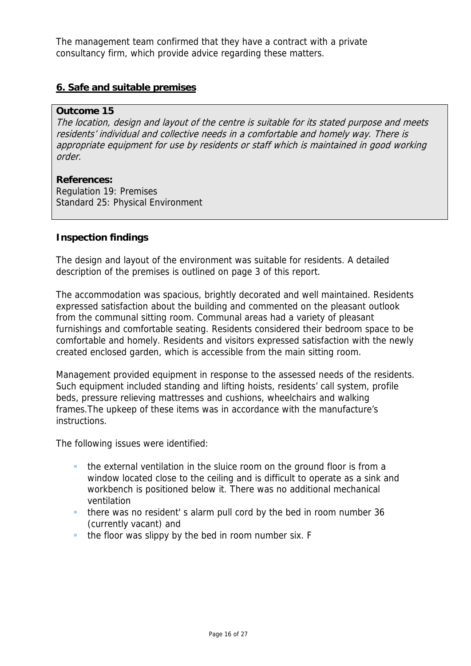The management team confirmed that they have a contract with a private consultancy firm, which provide advice regarding these matters.

## **6. Safe and suitable premises**

#### **Outcome 15**

The location, design and layout of the centre is suitable for its stated purpose and meets residents' individual and collective needs in a comfortable and homely way. There is appropriate equipment for use by residents or staff which is maintained in good working order.

**References:** Regulation 19: Premises Standard 25: Physical Environment

## **Inspection findings**

The design and layout of the environment was suitable for residents. A detailed description of the premises is outlined on page 3 of this report.

The accommodation was spacious, brightly decorated and well maintained. Residents expressed satisfaction about the building and commented on the pleasant outlook from the communal sitting room. Communal areas had a variety of pleasant furnishings and comfortable seating. Residents considered their bedroom space to be comfortable and homely. Residents and visitors expressed satisfaction with the newly created enclosed garden, which is accessible from the main sitting room.

Management provided equipment in response to the assessed needs of the residents. Such equipment included standing and lifting hoists, residents' call system, profile beds, pressure relieving mattresses and cushions, wheelchairs and walking frames.The upkeep of these items was in accordance with the manufacture's instructions.

The following issues were identified:

- the external ventilation in the sluice room on the ground floor is from a window located close to the ceiling and is difficult to operate as a sink and workbench is positioned below it. There was no additional mechanical ventilation
- there was no resident' s alarm pull cord by the bed in room number 36 (currently vacant) and
- the floor was slippy by the bed in room number six. F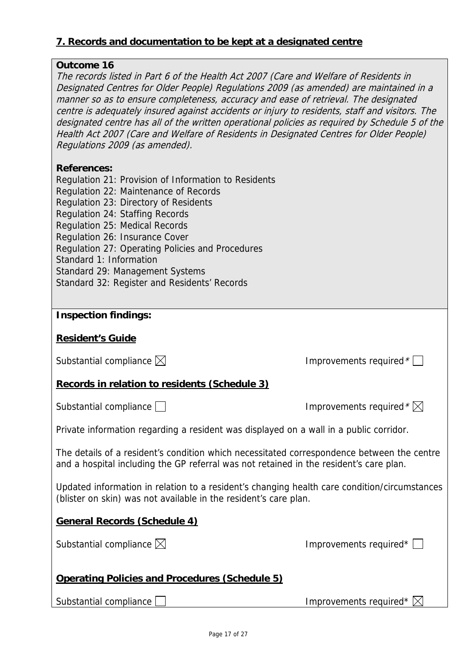## **7. Records and documentation to be kept at a designated centre**

## **Outcome 16**

The records listed in Part 6 of the Health Act 2007 (Care and Welfare of Residents in Designated Centres for Older People) Regulations 2009 (as amended) are maintained in a manner so as to ensure completeness, accuracy and ease of retrieval. The designated centre is adequately insured against accidents or injury to residents, staff and visitors. The designated centre has all of the written operational policies as required by Schedule 5 of the Health Act 2007 (Care and Welfare of Residents in Designated Centres for Older People) Regulations 2009 (as amended).

## **References:**

Regulation 21: Provision of Information to Residents Regulation 22: Maintenance of Records Regulation 23: Directory of Residents Regulation 24: Staffing Records Regulation 25: Medical Records Regulation 26: Insurance Cover Regulation 27: Operating Policies and Procedures Standard 1: Information Standard 29: Management Systems Standard 32: Register and Residents' Records

## **Inspection findings:**

## **Resident's Guide**

|  | Substantial compliance $\boxtimes$ |  |
|--|------------------------------------|--|
|--|------------------------------------|--|

## **Records in relation to residents (Schedule 3)**

| Substantial compliance |
|------------------------|
|------------------------|

Improvements required  $^*$   $\boxtimes$ 

Improvements required  $\sqrt[k]{\phantom{a}}$ 

Private information regarding a resident was displayed on a wall in a public corridor.

The details of a resident's condition which necessitated correspondence between the centre and a hospital including the GP referral was not retained in the resident's care plan.

Updated information in relation to a resident's changing health care condition/circumstances (blister on skin) was not available in the resident's care plan.

## **General Records (Schedule 4)**

Substantial compliance  $\boxtimes$  improvements required\*  $\Box$ 

## **Operating Policies and Procedures (Schedule 5)**

| Substantial compliance |  |
|------------------------|--|
|------------------------|--|

Improvements required\*  $\boxtimes$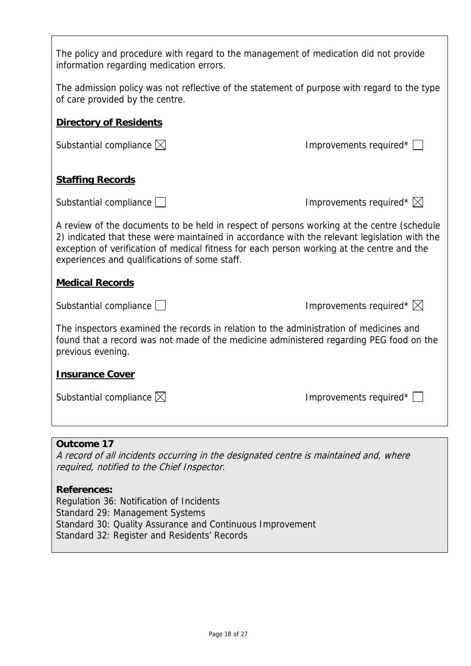| The policy and procedure with regard to the management of medication did not provide<br>information regarding medication errors.                                                                                                                                                                                                          |                                    |  |  |
|-------------------------------------------------------------------------------------------------------------------------------------------------------------------------------------------------------------------------------------------------------------------------------------------------------------------------------------------|------------------------------------|--|--|
| The admission policy was not reflective of the statement of purpose with regard to the type<br>of care provided by the centre.                                                                                                                                                                                                            |                                    |  |  |
| <b>Directory of Residents</b>                                                                                                                                                                                                                                                                                                             |                                    |  |  |
| Substantial compliance $\boxtimes$                                                                                                                                                                                                                                                                                                        | Improvements required*             |  |  |
| <b>Staffing Records</b>                                                                                                                                                                                                                                                                                                                   |                                    |  |  |
| Substantial compliance                                                                                                                                                                                                                                                                                                                    | Improvements required* $\boxtimes$ |  |  |
| A review of the documents to be held in respect of persons working at the centre (schedule<br>2) indicated that these were maintained in accordance with the relevant legislation with the<br>exception of verification of medical fitness for each person working at the centre and the<br>experiences and qualifications of some staff. |                                    |  |  |
| <b>Medical Records</b>                                                                                                                                                                                                                                                                                                                    |                                    |  |  |
| Substantial compliance $\Box$                                                                                                                                                                                                                                                                                                             | Improvements required* $\boxtimes$ |  |  |
| The inspectors examined the records in relation to the administration of medicines and<br>found that a record was not made of the medicine administered regarding PEG food on the<br>previous evening.                                                                                                                                    |                                    |  |  |
| <b>Insurance Cover</b>                                                                                                                                                                                                                                                                                                                    |                                    |  |  |
| Substantial compliance $\boxtimes$                                                                                                                                                                                                                                                                                                        | Improvements required*             |  |  |
|                                                                                                                                                                                                                                                                                                                                           |                                    |  |  |
| <b>Outcome 17</b><br>A record of all incidents occurring in the designated centre is maintained and, where<br>required, notified to the Chief Inspector.                                                                                                                                                                                  |                                    |  |  |

# **References:**

 $\overline{1}$ 

Regulation 36: Notification of Incidents Standard 29: Management Systems Standard 30: Quality Assurance and Continuous Improvement Standard 32: Register and Residents' Records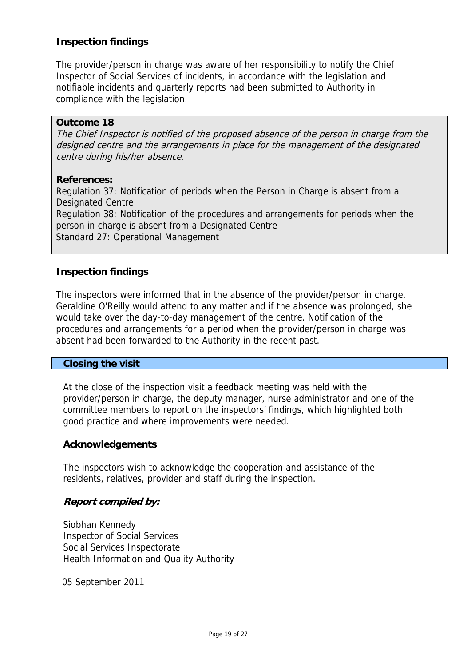## **Inspection findings**

The provider/person in charge was aware of her responsibility to notify the Chief Inspector of Social Services of incidents, in accordance with the legislation and notifiable incidents and quarterly reports had been submitted to Authority in compliance with the legislation.

#### **Outcome 18**

The Chief Inspector is notified of the proposed absence of the person in charge from the designed centre and the arrangements in place for the management of the designated centre during his/her absence.

#### **References:**

Regulation 37: Notification of periods when the Person in Charge is absent from a Designated Centre Regulation 38: Notification of the procedures and arrangements for periods when the person in charge is absent from a Designated Centre Standard 27: Operational Management

## **Inspection findings**

The inspectors were informed that in the absence of the provider/person in charge, Geraldine O'Reilly would attend to any matter and if the absence was prolonged, she would take over the day-to-day management of the centre. Notification of the procedures and arrangements for a period when the provider/person in charge was absent had been forwarded to the Authority in the recent past.

#### **Closing the visit**

At the close of the inspection visit a feedback meeting was held with the provider/person in charge, the deputy manager, nurse administrator and one of the committee members to report on the inspectors' findings, which highlighted both good practice and where improvements were needed.

#### **Acknowledgements**

The inspectors wish to acknowledge the cooperation and assistance of the residents, relatives, provider and staff during the inspection.

## **Report compiled by:**

Siobhan Kennedy Inspector of Social Services Social Services Inspectorate Health Information and Quality Authority

05 September 2011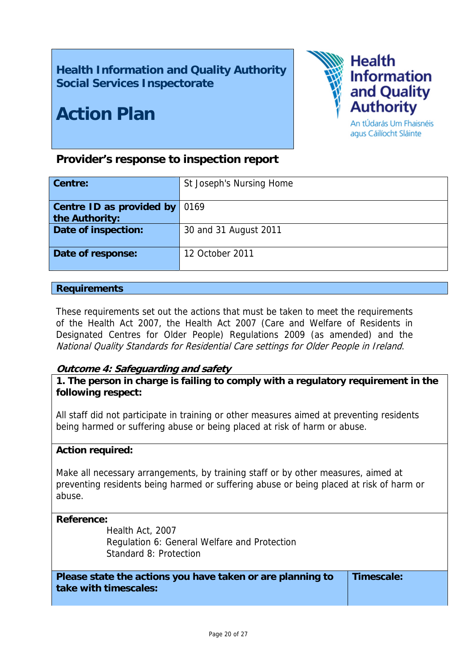# **Health Information and Quality Authority Social Services Inspectorate**

# **Action Plan**



An tÚdarás Um Fhaisnéis agus Cáilíocht Sláinte

## **Provider's response to inspection report**

| Centre:                                           | St Joseph's Nursing Home |
|---------------------------------------------------|--------------------------|
| <b>Centre ID as provided by</b><br>the Authority: | 0169                     |
| Date of inspection:                               | 30 and 31 August 2011    |
| Date of response:                                 | 12 October 2011          |

#### **Requirements**

These requirements set out the actions that must be taken to meet the requirements of the Health Act 2007, the Health Act 2007 (Care and Welfare of Residents in Designated Centres for Older People) Regulations 2009 (as amended) and the National Quality Standards for Residential Care settings for Older People in Ireland.

## **Outcome 4: Safeguarding and safety**

**1. The person in charge is failing to comply with a regulatory requirement in the following respect:**

All staff did not participate in training or other measures aimed at preventing residents being harmed or suffering abuse or being placed at risk of harm or abuse.

#### **Action required:**

Make all necessary arrangements, by training staff or by other measures, aimed at preventing residents being harmed or suffering abuse or being placed at risk of harm or abuse.

#### **Reference:**

 Health Act, 2007 Regulation 6: General Welfare and Protection Standard 8: Protection

**Please state the actions you have taken or are planning to take with timescales: Timescale:**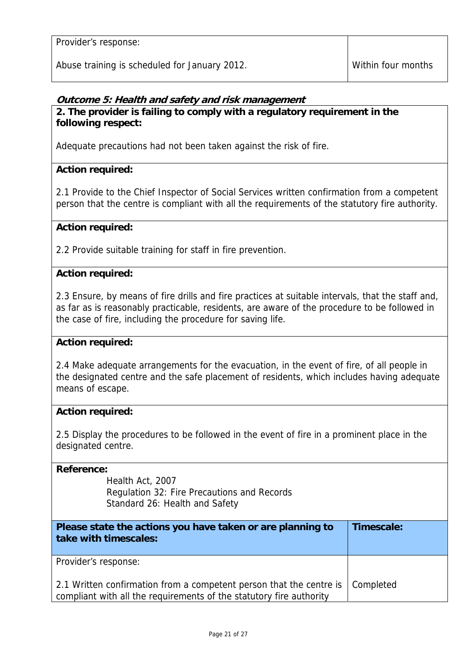Provider's response:

Abuse training is scheduled for January 2012.

## **Outcome 5: Health and safety and risk management**

## **2. The provider is failing to comply with a regulatory requirement in the following respect:**

Adequate precautions had not been taken against the risk of fire.

## **Action required:**

2.1 Provide to the Chief Inspector of Social Services written confirmation from a competent person that the centre is compliant with all the requirements of the statutory fire authority.

## **Action required:**

2.2 Provide suitable training for staff in fire prevention.

## **Action required:**

2.3 Ensure, by means of fire drills and fire practices at suitable intervals, that the staff and, as far as is reasonably practicable, residents, are aware of the procedure to be followed in the case of fire, including the procedure for saving life.

## **Action required:**

2.4 Make adequate arrangements for the evacuation, in the event of fire, of all people in the designated centre and the safe placement of residents, which includes having adequate means of escape.

#### **Action required:**

2.5 Display the procedures to be followed in the event of fire in a prominent place in the designated centre.

#### **Reference:**

 Health Act, 2007 Regulation 32: Fire Precautions and Records Standard 26: Health and Safety

| Please state the actions you have taken or are planning to<br>take with timescales:                                                        | Timescale: |
|--------------------------------------------------------------------------------------------------------------------------------------------|------------|
| Provider's response:                                                                                                                       |            |
| 2.1 Written confirmation from a competent person that the centre is<br>compliant with all the requirements of the statutory fire authority | Completed  |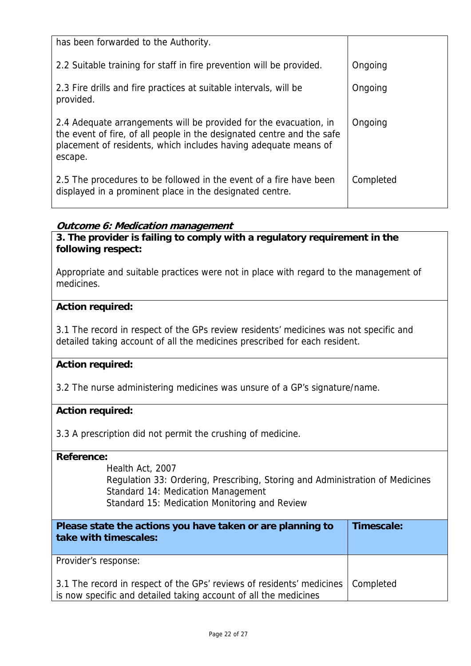| has been forwarded to the Authority.                                                                                                                                                                                      |           |
|---------------------------------------------------------------------------------------------------------------------------------------------------------------------------------------------------------------------------|-----------|
| 2.2 Suitable training for staff in fire prevention will be provided.                                                                                                                                                      | Ongoing   |
| 2.3 Fire drills and fire practices at suitable intervals, will be<br>provided.                                                                                                                                            | Ongoing   |
| 2.4 Adequate arrangements will be provided for the evacuation, in<br>the event of fire, of all people in the designated centre and the safe<br>placement of residents, which includes having adequate means of<br>escape. | Ongoing   |
| 2.5 The procedures to be followed in the event of a fire have been<br>displayed in a prominent place in the designated centre.                                                                                            | Completed |

## **Outcome 6: Medication management**

**3. The provider is failing to comply with a regulatory requirement in the following respect:**

Appropriate and suitable practices were not in place with regard to the management of medicines.

## **Action required:**

3.1 The record in respect of the GPs review residents' medicines was not specific and detailed taking account of all the medicines prescribed for each resident.

## **Action required:**

3.2 The nurse administering medicines was unsure of a GP's signature/name.

#### **Action required:**

3.3 A prescription did not permit the crushing of medicine.

#### **Reference:**

 Health Act, 2007 Regulation 33: Ordering, Prescribing, Storing and Administration of Medicines Standard 14: Medication Management Standard 15: Medication Monitoring and Review

| Please state the actions you have taken or are planning to<br>take with timescales:                                                                   | Timescale: |
|-------------------------------------------------------------------------------------------------------------------------------------------------------|------------|
| Provider's response:                                                                                                                                  |            |
| 3.1 The record in respect of the GPs' reviews of residents' medicines   Completed<br>is now specific and detailed taking account of all the medicines |            |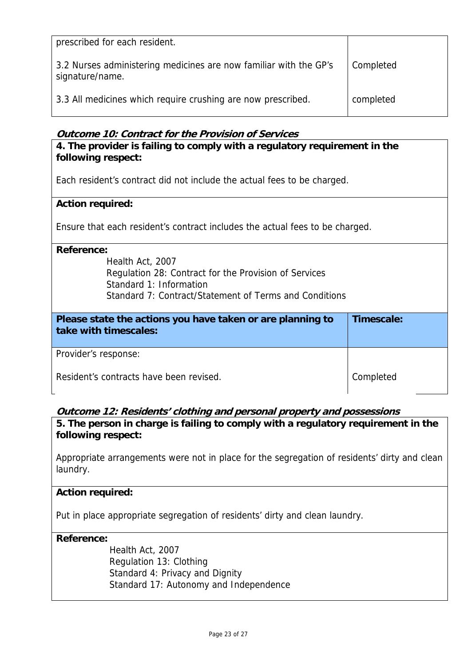| prescribed for each resident.                                                        |           |
|--------------------------------------------------------------------------------------|-----------|
| 3.2 Nurses administering medicines are now familiar with the GP's<br>signature/name. | Completed |
| 3.3 All medicines which require crushing are now prescribed.                         | completed |

## **Outcome 10: Contract for the Provision of Services**

| 4. The provider is failing to comply with a regulatory requirement in the<br>following respect: |            |  |
|-------------------------------------------------------------------------------------------------|------------|--|
| Each resident's contract did not include the actual fees to be charged.                         |            |  |
| <b>Action required:</b>                                                                         |            |  |
| Ensure that each resident's contract includes the actual fees to be charged.                    |            |  |
| <b>Reference:</b>                                                                               |            |  |
| Health Act, 2007                                                                                |            |  |
| Regulation 28: Contract for the Provision of Services<br>Standard 1: Information                |            |  |
| Standard 7: Contract/Statement of Terms and Conditions                                          |            |  |
|                                                                                                 |            |  |
| Please state the actions you have taken or are planning to<br>take with timescales:             | Timescale: |  |
| Provider's response:                                                                            |            |  |
| Resident's contracts have been revised.                                                         | Completed  |  |

## **Outcome 12: Residents' clothing and personal property and possessions**

**5. The person in charge is failing to comply with a regulatory requirement in the following respect:**

Appropriate arrangements were not in place for the segregation of residents' dirty and clean laundry.

## **Action required:**

Put in place appropriate segregation of residents' dirty and clean laundry.

**Reference:**

 Health Act, 2007 Regulation 13: Clothing Standard 4: Privacy and Dignity Standard 17: Autonomy and Independence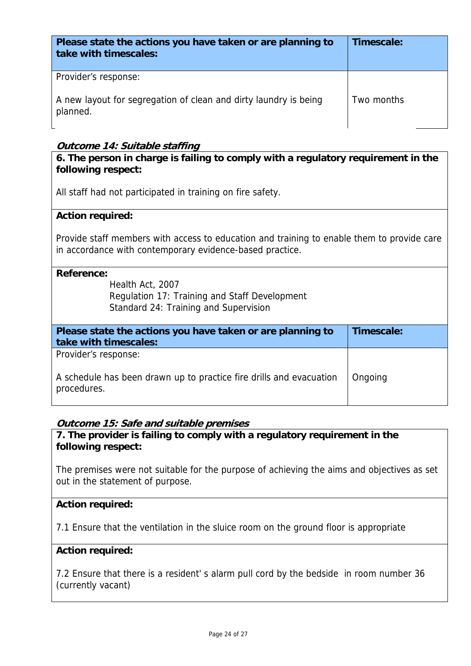| Please state the actions you have taken or are planning to<br>take with timescales: | Timescale: |
|-------------------------------------------------------------------------------------|------------|
| Provider's response:                                                                |            |
| A new layout for segregation of clean and dirty laundry is being<br>planned.        | Two months |

## **Outcome 14: Suitable staffing**

**6. The person in charge is failing to comply with a regulatory requirement in the following respect:**

All staff had not participated in training on fire safety.

#### **Action required:**

Provide staff members with access to education and training to enable them to provide care in accordance with contemporary evidence-based practice.

| Reference:<br>Health Act, 2007<br>Regulation 17: Training and Staff Development<br>Standard 24: Training and Supervision |            |
|--------------------------------------------------------------------------------------------------------------------------|------------|
| Please state the actions you have taken or are planning to<br>take with timescales:                                      | Timescale: |
| Provider's response:                                                                                                     |            |
| A schedule has been drawn up to practice fire drills and evacuation<br>procedures.                                       | Ongoing    |

## **Outcome 15: Safe and suitable premises**

**7. The provider is failing to comply with a regulatory requirement in the following respect:**

The premises were not suitable for the purpose of achieving the aims and objectives as set out in the statement of purpose.

#### **Action required:**

7.1 Ensure that the ventilation in the sluice room on the ground floor is appropriate

#### **Action required:**

7.2 Ensure that there is a resident' s alarm pull cord by the bedside in room number 36 (currently vacant)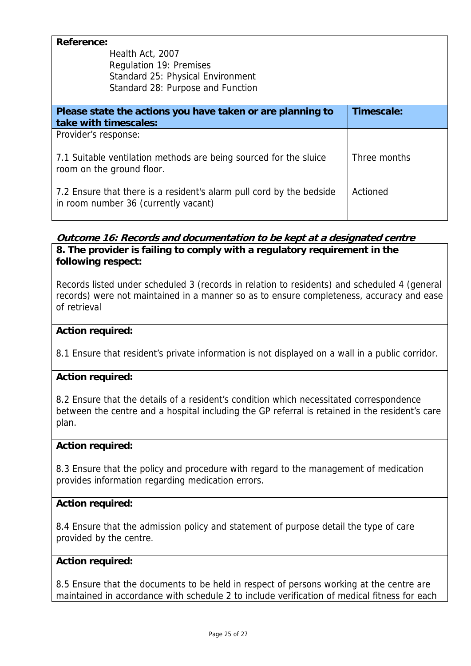| <b>Reference:</b>                                                    |              |
|----------------------------------------------------------------------|--------------|
| Health Act, 2007                                                     |              |
| <b>Requlation 19: Premises</b>                                       |              |
| Standard 25: Physical Environment                                    |              |
| Standard 28: Purpose and Function                                    |              |
|                                                                      |              |
| Please state the actions you have taken or are planning to           | Timescale:   |
| take with timescales:                                                |              |
| Provider's response:                                                 |              |
|                                                                      |              |
| 7.1 Suitable ventilation methods are being sourced for the sluice    | Three months |
| room on the ground floor.                                            |              |
|                                                                      |              |
| 7.2 Ensure that there is a resident's alarm pull cord by the bedside | Actioned     |
| in room number 36 (currently vacant)                                 |              |
|                                                                      |              |

## **Outcome 16: Records and documentation to be kept at a designated centre 8. The provider is failing to comply with a regulatory requirement in the following respect:**

Records listed under scheduled 3 (records in relation to residents) and scheduled 4 (general records) were not maintained in a manner so as to ensure completeness, accuracy and ease of retrieval

## **Action required:**

8.1 Ensure that resident's private information is not displayed on a wall in a public corridor.

## **Action required:**

8.2 Ensure that the details of a resident's condition which necessitated correspondence between the centre and a hospital including the GP referral is retained in the resident's care plan.

## **Action required:**

8.3 Ensure that the policy and procedure with regard to the management of medication provides information regarding medication errors.

## **Action required:**

8.4 Ensure that the admission policy and statement of purpose detail the type of care provided by the centre.

## **Action required:**

8.5 Ensure that the documents to be held in respect of persons working at the centre are maintained in accordance with schedule 2 to include verification of medical fitness for each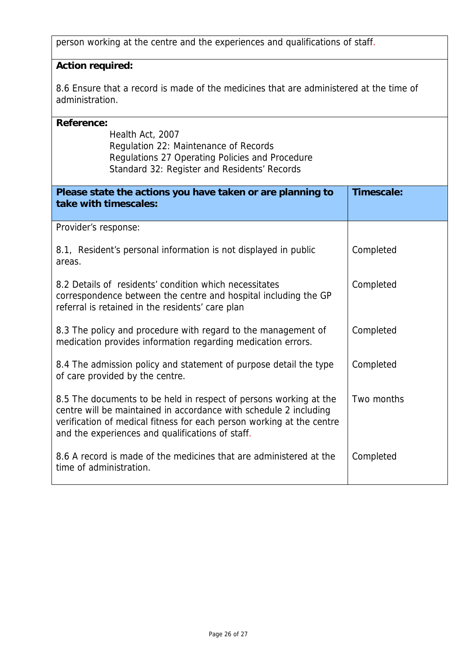person working at the centre and the experiences and qualifications of staff.

## **Action required:**

8.6 Ensure that a record is made of the medicines that are administered at the time of administration.

| <b>Reference:</b>                                                                             |            |
|-----------------------------------------------------------------------------------------------|------------|
| Health Act, 2007                                                                              |            |
| Regulation 22: Maintenance of Records<br>Regulations 27 Operating Policies and Procedure      |            |
| Standard 32: Register and Residents' Records                                                  |            |
|                                                                                               |            |
| Please state the actions you have taken or are planning to                                    | Timescale: |
| take with timescales:                                                                         |            |
|                                                                                               |            |
| Provider's response:                                                                          |            |
| 8.1, Resident's personal information is not displayed in public                               | Completed  |
| areas.                                                                                        |            |
|                                                                                               |            |
| 8.2 Details of residents' condition which necessitates                                        | Completed  |
| correspondence between the centre and hospital including the GP                               |            |
| referral is retained in the residents' care plan                                              |            |
| 8.3 The policy and procedure with regard to the management of                                 | Completed  |
| medication provides information regarding medication errors.                                  |            |
|                                                                                               |            |
| 8.4 The admission policy and statement of purpose detail the type                             | Completed  |
| of care provided by the centre.                                                               |            |
| 8.5 The documents to be held in respect of persons working at the                             | Two months |
| centre will be maintained in accordance with schedule 2 including                             |            |
| verification of medical fitness for each person working at the centre                         |            |
| and the experiences and qualifications of staff.                                              |            |
|                                                                                               |            |
| 8.6 A record is made of the medicines that are administered at the<br>time of administration. | Completed  |
|                                                                                               |            |